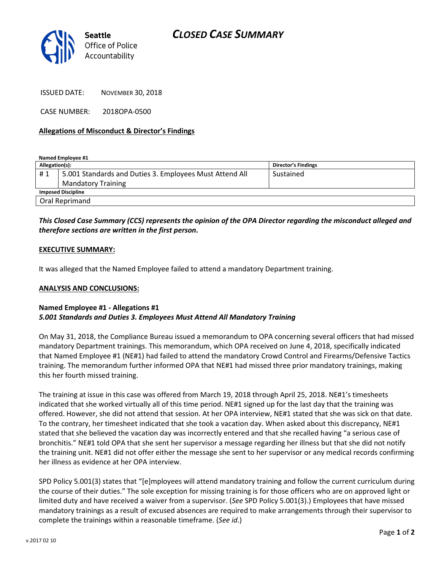

ISSUED DATE: NOVEMBER 30, 2018

CASE NUMBER: 2018OPA-0500

#### Allegations of Misconduct & Director's Findings

Named Employee #1

| Allegation(s):            |                                                         | <b>Director's Findings</b> |
|---------------------------|---------------------------------------------------------|----------------------------|
| #1                        | 5.001 Standards and Duties 3. Employees Must Attend All | Sustained                  |
|                           | <b>Mandatory Training</b>                               |                            |
| <b>Imposed Discipline</b> |                                                         |                            |
| Oral Reprimand            |                                                         |                            |

## This Closed Case Summary (CCS) represents the opinion of the OPA Director regarding the misconduct alleged and therefore sections are written in the first person.

#### EXECUTIVE SUMMARY:

It was alleged that the Named Employee failed to attend a mandatory Department training.

#### ANALYSIS AND CONCLUSIONS:

### Named Employee #1 - Allegations #1 5.001 Standards and Duties 3. Employees Must Attend All Mandatory Training

On May 31, 2018, the Compliance Bureau issued a memorandum to OPA concerning several officers that had missed mandatory Department trainings. This memorandum, which OPA received on June 4, 2018, specifically indicated that Named Employee #1 (NE#1) had failed to attend the mandatory Crowd Control and Firearms/Defensive Tactics training. The memorandum further informed OPA that NE#1 had missed three prior mandatory trainings, making this her fourth missed training.

The training at issue in this case was offered from March 19, 2018 through April 25, 2018. NE#1's timesheets indicated that she worked virtually all of this time period. NE#1 signed up for the last day that the training was offered. However, she did not attend that session. At her OPA interview, NE#1 stated that she was sick on that date. To the contrary, her timesheet indicated that she took a vacation day. When asked about this discrepancy, NE#1 stated that she believed the vacation day was incorrectly entered and that she recalled having "a serious case of bronchitis." NE#1 told OPA that she sent her supervisor a message regarding her illness but that she did not notify the training unit. NE#1 did not offer either the message she sent to her supervisor or any medical records confirming her illness as evidence at her OPA interview.

SPD Policy 5.001(3) states that "[e]mployees will attend mandatory training and follow the current curriculum during the course of their duties." The sole exception for missing training is for those officers who are on approved light or limited duty and have received a waiver from a supervisor. (See SPD Policy 5.001(3).) Employees that have missed mandatory trainings as a result of excused absences are required to make arrangements through their supervisor to complete the trainings within a reasonable timeframe. (See id.)